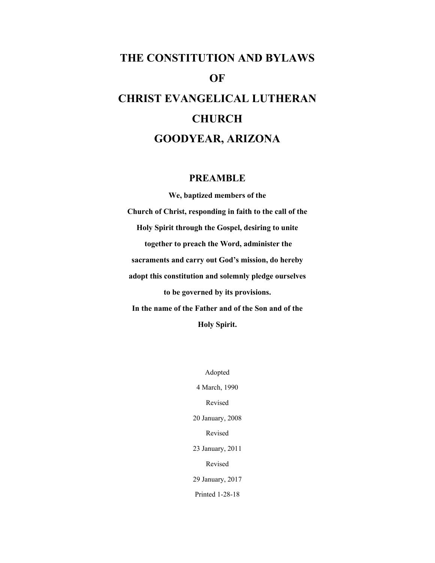# **THE CONSTITUTION AND BYLAWS OF CHRIST EVANGELICAL LUTHERAN CHURCH GOODYEAR, ARIZONA**

## **PREAMBLE**

**We, baptized members of the Church of Christ, responding in faith to the call of the Holy Spirit through the Gospel, desiring to unite together to preach the Word, administer the sacraments and carry out God's mission, do hereby adopt this constitution and solemnly pledge ourselves to be governed by its provisions. In the name of the Father and of the Son and of the Holy Spirit.**

> Adopted 4 March, 1990 Revised 20 January, 2008 Revised 23 January, 2011 Revised 29 January, 2017 Printed 1-28-18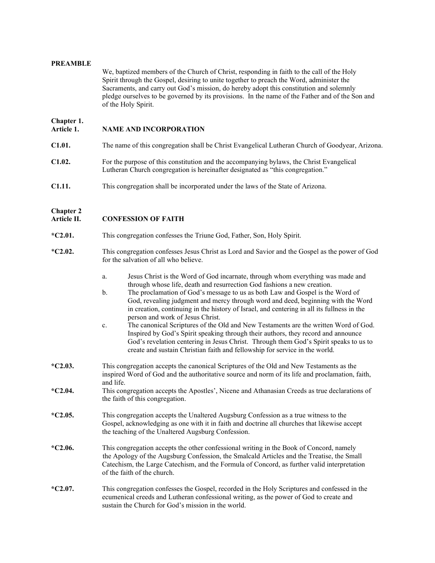#### **PREAMBLE**

We, baptized members of the Church of Christ, responding in faith to the call of the Holy Spirit through the Gospel, desiring to unite together to preach the Word, administer the Sacraments, and carry out God's mission, do hereby adopt this constitution and solemnly pledge ourselves to be governed by its provisions. In the name of the Father and of the Son and of the Holy Spirit.

## **Chapter 1.**

## **NAME AND INCORPORATION**

- **C1.01.** The name of this congregation shall be Christ Evangelical Lutheran Church of Goodyear, Arizona.
- **C1.02.** For the purpose of this constitution and the accompanying bylaws, the Christ Evangelical Lutheran Church congregation is hereinafter designated as "this congregation."
- **C1.11.** This congregation shall be incorporated under the laws of the State of Arizona.

## **Chapter 2**

## **CONFESSION OF FAITH**

- **\*C2.01.** This congregation confesses the Triune God, Father, Son, Holy Spirit.
- \***C2.02.** This congregation confesses Jesus Christ as Lord and Savior and the Gospel as the power of God for the salvation of all who believe.
	- a. Jesus Christ is the Word of God incarnate, through whom everything was made and through whose life, death and resurrection God fashions a new creation.
	- b. The proclamation of God's message to us as both Law and Gospel is the Word of God, revealing judgment and mercy through word and deed, beginning with the Word in creation, continuing in the history of Israel, and centering in all its fullness in the person and work of Jesus Christ.
	- c. The canonical Scriptures of the Old and New Testaments are the written Word of God. Inspired by God's Spirit speaking through their authors, they record and announce God's revelation centering in Jesus Christ. Through them God's Spirit speaks to us to create and sustain Christian faith and fellowship for service in the world.
- **\*C2.03.** This congregation accepts the canonical Scriptures of the Old and New Testaments as the inspired Word of God and the authoritative source and norm of its life and proclamation, faith, and life.
- **\*C2.04.** This congregation accepts the Apostles', Nicene and Athanasian Creeds as true declarations of the faith of this congregation.
- **\*C2.05.** This congregation accepts the Unaltered Augsburg Confession as a true witness to the Gospel, acknowledging as one with it in faith and doctrine all churches that likewise accept the teaching of the Unaltered Augsburg Confession.
- **\*C2.06.** This congregation accepts the other confessional writing in the Book of Concord, namely the Apology of the Augsburg Confession, the Smalcald Articles and the Treatise, the Small Catechism, the Large Catechism, and the Formula of Concord, as further valid interpretation of the faith of the church.
- **\*C2.07.** This congregation confesses the Gospel, recorded in the Holy Scriptures and confessed in the ecumenical creeds and Lutheran confessional writing, as the power of God to create and sustain the Church for God's mission in the world.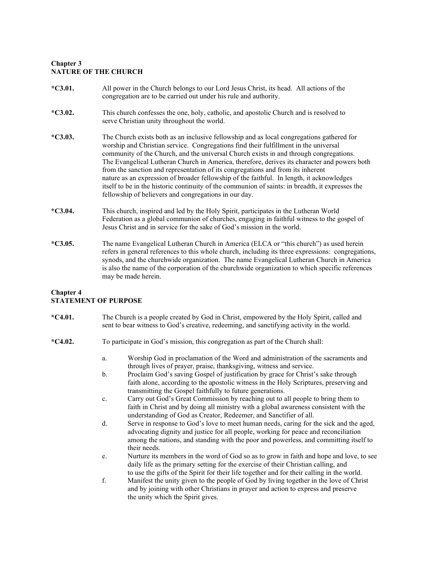## **Chapter 3 NATURE OF THE CHURCH**

- **\*C3.01.** All power in the Church belongs to our Lord Jesus Christ, its head. All actions of the congregation are to be carried out under his rule and authority.
- **\*C3.02.** This church confesses the one, holy, catholic, and apostolic Church and is resolved to serve Christian unity throughout the world.
- **\*C3.03.** The Church exists both as an inclusive fellowship and as local congregations gathered for worship and Christian service. Congregations find their fulfillment in the universal community of the Church, and the universal Church exists in and through congregations. The Evangelical Lutheran Church in America, therefore, derives its character and powers both from the sanction and representation of its congregations and from its inherent nature as an expression of broader fellowship of the faithful. In length, it acknowledges itself to be in the historic continuity of the communion of saints: in breadth, it expresses the fellowship of believers and congregations in our day.
- **\*C3.04.** This church, inspired and led by the Holy Spirit, participates in the Lutheran World Federation as a global communion of churches, engaging in faithful witness to the gospel of Jesus Christ and in service for the sake of God's mission in the world.
- **\*C3.05.** The name Evangelical Lutheran Church in America (ELCA or "this church") as used herein refers in general references to this whole church, including its three expressions: congregations, synods, and the churchwide organization. The name Evangelical Lutheran Church in America is also the name of the corporation of the churchwide organization to which specific references may be made herein.

## **Chapter 4 STATEMENT OF PURPOSE**

- **\*C4.01.** The Church is a people created by God in Christ, empowered by the Holy Spirit, called and sent to bear witness to God's creative, redeeming, and sanctifying activity in the world.
- **\*C4.02.** To participate in God's mission, this congregation as part of the Church shall:
	- a. Worship God in proclamation of the Word and administration of the sacraments and through lives of prayer, praise, thanksgiving, witness and service.
	- b. Proclaim God's saving Gospel of justification by grace for Christ's sake through faith alone, according to the apostolic witness in the Holy Scriptures, preserving and transmitting the Gospel faithfully to future generations.
	- c. Carry out God's Great Commission by reaching out to all people to bring them to faith in Christ and by doing all ministry with a global awareness consistent with the understanding of God as Creator, Redeemer, and Sanctifier of all.
	- d. Serve in response to God's love to meet human needs, caring for the sick and the aged, advocating dignity and justice for all people, working for peace and reconciliation among the nations, and standing with the poor and powerless, and committing itself to their needs.
	- e. Nurture its members in the word of God so as to grow in faith and hope and love, to see daily life as the primary setting for the exercise of their Christian calling, and to use the gifts of the Spirit for their life together and for their calling in the world.
	- f. Manifest the unity given to the people of God by living together in the love of Christ and by joining with other Christians in prayer and action to express and preserve the unity which the Spirit gives.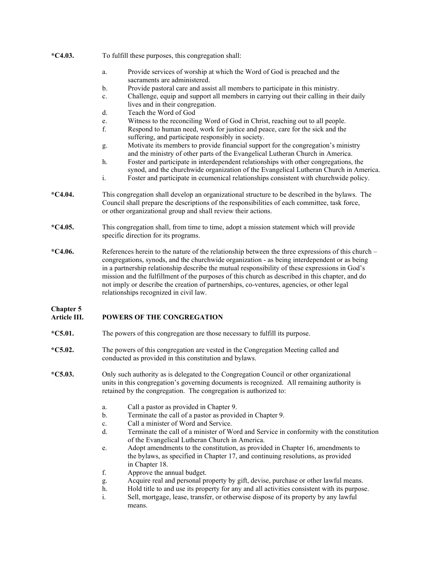|           | Provide services of worship at which the Word of God is preached and the<br>a.<br>sacraments are administered.                                                                                                                                                                                                                                                                                                                                                                                       |  |
|-----------|------------------------------------------------------------------------------------------------------------------------------------------------------------------------------------------------------------------------------------------------------------------------------------------------------------------------------------------------------------------------------------------------------------------------------------------------------------------------------------------------------|--|
|           | Provide pastoral care and assist all members to participate in this ministry.<br>b.                                                                                                                                                                                                                                                                                                                                                                                                                  |  |
|           | Challenge, equip and support all members in carrying out their calling in their daily<br>c.<br>lives and in their congregation.                                                                                                                                                                                                                                                                                                                                                                      |  |
|           | Teach the Word of God<br>$d$ .                                                                                                                                                                                                                                                                                                                                                                                                                                                                       |  |
|           | Witness to the reconciling Word of God in Christ, reaching out to all people.<br>e.                                                                                                                                                                                                                                                                                                                                                                                                                  |  |
|           | f.<br>Respond to human need, work for justice and peace, care for the sick and the<br>suffering, and participate responsibly in society.                                                                                                                                                                                                                                                                                                                                                             |  |
|           | Motivate its members to provide financial support for the congregation's ministry<br>g.<br>and the ministry of other parts of the Evangelical Lutheran Church in America.                                                                                                                                                                                                                                                                                                                            |  |
|           | h.<br>Foster and participate in interdependent relationships with other congregations, the<br>synod, and the churchwide organization of the Evangelical Lutheran Church in America.                                                                                                                                                                                                                                                                                                                  |  |
|           | i.<br>Foster and participate in ecumenical relationships consistent with churchwide policy.                                                                                                                                                                                                                                                                                                                                                                                                          |  |
| $*C4.04.$ | This congregation shall develop an organizational structure to be described in the bylaws. The<br>Council shall prepare the descriptions of the responsibilities of each committee, task force,<br>or other organizational group and shall review their actions.                                                                                                                                                                                                                                     |  |
| $*C4.05.$ | This congregation shall, from time to time, adopt a mission statement which will provide<br>specific direction for its programs.                                                                                                                                                                                                                                                                                                                                                                     |  |
| $*C4.06.$ | References herein to the nature of the relationship between the three expressions of this church –<br>congregations, synods, and the churchwide organization - as being interdependent or as being<br>in a partnership relationship describe the mutual responsibility of these expressions in God's<br>mission and the fulfillment of the purposes of this church as described in this chapter, and do<br>not imply or describe the creation of partnerships, co-ventures, agencies, or other legal |  |

**Chapter 5**

## **Article III. POWERS OF THE CONGREGATION**

relationships recognized in civil law.

**\*C4.03.** To fulfill these purposes, this congregation shall:

- **\*C5.01.** The powers of this congregation are those necessary to fulfill its purpose.
- **\*C5.02.** The powers of this congregation are vested in the Congregation Meeting called and conducted as provided in this constitution and bylaws.
- **\*C5.03.** Only such authority as is delegated to the Congregation Council or other organizational units in this congregation's governing documents is recognized. All remaining authority is retained by the congregation. The congregation is authorized to:
	- a. Call a pastor as provided in Chapter 9.
	- b. Terminate the call of a pastor as provided in Chapter 9.
	- c. Call a minister of Word and Service.
	- d. Terminate the call of a minister of Word and Service in conformity with the constitution of the Evangelical Lutheran Church in America.
	- e. Adopt amendments to the constitution, as provided in Chapter 16, amendments to the bylaws, as specified in Chapter 17, and continuing resolutions, as provided in Chapter 18.
	- f. Approve the annual budget.
	- g. Acquire real and personal property by gift, devise, purchase or other lawful means.
	- h. Hold title to and use its property for any and all activities consistent with its purpose.
	- i. Sell, mortgage, lease, transfer, or otherwise dispose of its property by any lawful means.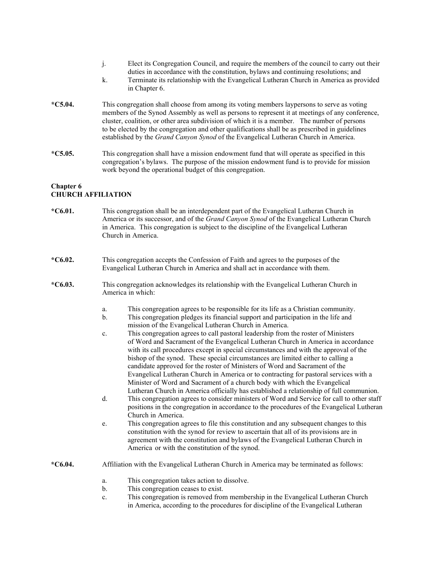- j. Elect its Congregation Council, and require the members of the council to carry out their duties in accordance with the constitution, bylaws and continuing resolutions; and
- k. Terminate its relationship with the Evangelical Lutheran Church in America as provided in Chapter 6.
- **\*C5.04.** This congregation shall choose from among its voting members laypersons to serve as voting members of the Synod Assembly as well as persons to represent it at meetings of any conference, cluster, coalition, or other area subdivision of which it is a member. The number of persons to be elected by the congregation and other qualifications shall be as prescribed in guidelines established by the *Grand Canyon Synod* of the Evangelical Lutheran Church in America.
- **\*C5.05.** This congregation shall have a mission endowment fund that will operate as specified in this congregation's bylaws. The purpose of the mission endowment fund is to provide for mission work beyond the operational budget of this congregation.

#### **Chapter 6 CHURCH AFFILIATION**

- **\*C6.01.** This congregation shall be an interdependent part of the Evangelical Lutheran Church in America or its successor, and of the *Grand Canyon Synod* of the Evangelical Lutheran Church in America. This congregation is subject to the discipline of the Evangelical Lutheran Church in America.
- **\*C6.02.** This congregation accepts the Confession of Faith and agrees to the purposes of the Evangelical Lutheran Church in America and shall act in accordance with them.
- **\*C6.03.** This congregation acknowledges its relationship with the Evangelical Lutheran Church in America in which:
	- a. This congregation agrees to be responsible for its life as a Christian community.
	- b. This congregation pledges its financial support and participation in the life and mission of the Evangelical Lutheran Church in America.
	- c. This congregation agrees to call pastoral leadership from the roster of Ministers of Word and Sacrament of the Evangelical Lutheran Church in America in accordance with its call procedures except in special circumstances and with the approval of the bishop of the synod. These special circumstances are limited either to calling a candidate approved for the roster of Ministers of Word and Sacrament of the Evangelical Lutheran Church in America or to contracting for pastoral services with a Minister of Word and Sacrament of a church body with which the Evangelical Lutheran Church in America officially has established a relationship of full communion.
	- d. This congregation agrees to consider ministers of Word and Service for call to other staff positions in the congregation in accordance to the procedures of the Evangelical Lutheran Church in America.
	- e. This congregation agrees to file this constitution and any subsequent changes to this constitution with the synod for review to ascertain that all of its provisions are in agreement with the constitution and bylaws of the Evangelical Lutheran Church in America or with the constitution of the synod.
- **\*C6.04.** Affiliation with the Evangelical Lutheran Church in America may be terminated as follows:
	- a. This congregation takes action to dissolve.<br>b. This congregation ceases to exist.
	- This congregation ceases to exist.
	- c. This congregation is removed from membership in the Evangelical Lutheran Church in America, according to the procedures for discipline of the Evangelical Lutheran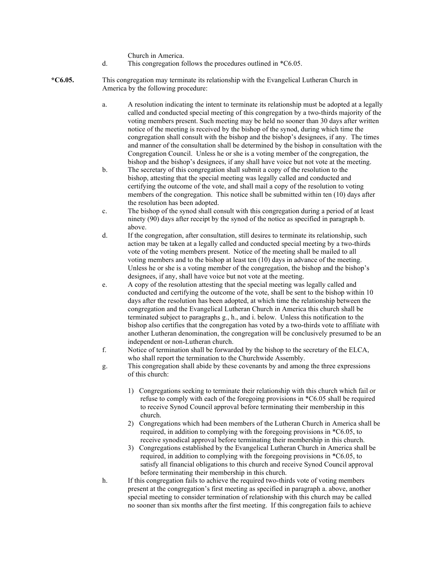Church in America.

- d. This congregation follows the procedures outlined in \*C6.05.
- **\*C6.05.** This congregation may terminate its relationship with the Evangelical Lutheran Church in America by the following procedure:
	- a. A resolution indicating the intent to terminate its relationship must be adopted at a legally called and conducted special meeting of this congregation by a two-thirds majority of the voting members present. Such meeting may be held no sooner than 30 days after written notice of the meeting is received by the bishop of the synod, during which time the congregation shall consult with the bishop and the bishop's designees, if any. The times and manner of the consultation shall be determined by the bishop in consultation with the Congregation Council. Unless he or she is a voting member of the congregation, the bishop and the bishop's designees, if any shall have voice but not vote at the meeting.
	- b. The secretary of this congregation shall submit a copy of the resolution to the bishop, attesting that the special meeting was legally called and conducted and certifying the outcome of the vote, and shall mail a copy of the resolution to voting members of the congregation. This notice shall be submitted within ten (10) days after the resolution has been adopted.
	- c. The bishop of the synod shall consult with this congregation during a period of at least ninety (90) days after receipt by the synod of the notice as specified in paragraph b. above.
	- d. If the congregation, after consultation, still desires to terminate its relationship, such action may be taken at a legally called and conducted special meeting by a two-thirds vote of the voting members present. Notice of the meeting shall be mailed to all voting members and to the bishop at least ten (10) days in advance of the meeting. Unless he or she is a voting member of the congregation, the bishop and the bishop's designees, if any, shall have voice but not vote at the meeting.
	- e. A copy of the resolution attesting that the special meeting was legally called and conducted and certifying the outcome of the vote, shall be sent to the bishop within 10 days after the resolution has been adopted, at which time the relationship between the congregation and the Evangelical Lutheran Church in America this church shall be terminated subject to paragraphs g., h., and i. below. Unless this notification to the bishop also certifies that the congregation has voted by a two-thirds vote to affiliate with another Lutheran denomination, the congregation will be conclusively presumed to be an independent or non-Lutheran church.
	- f. Notice of termination shall be forwarded by the bishop to the secretary of the ELCA, who shall report the termination to the Churchwide Assembly.
	- g. This congregation shall abide by these covenants by and among the three expressions of this church:
		- 1) Congregations seeking to terminate their relationship with this church which fail or refuse to comply with each of the foregoing provisions in \*C6.05 shall be required to receive Synod Council approval before terminating their membership in this church.
		- 2) Congregations which had been members of the Lutheran Church in America shall be required, in addition to complying with the foregoing provisions in \*C6.05, to receive synodical approval before terminating their membership in this church.
		- 3) Congregations established by the Evangelical Lutheran Church in America shall be required, in addition to complying with the foregoing provisions in \*C6.05, to satisfy all financial obligations to this church and receive Synod Council approval before terminating their membership in this church.
	- h. If this congregation fails to achieve the required two-thirds vote of voting members present at the congregation's first meeting as specified in paragraph a. above, another special meeting to consider termination of relationship with this church may be called no sooner than six months after the first meeting. If this congregation fails to achieve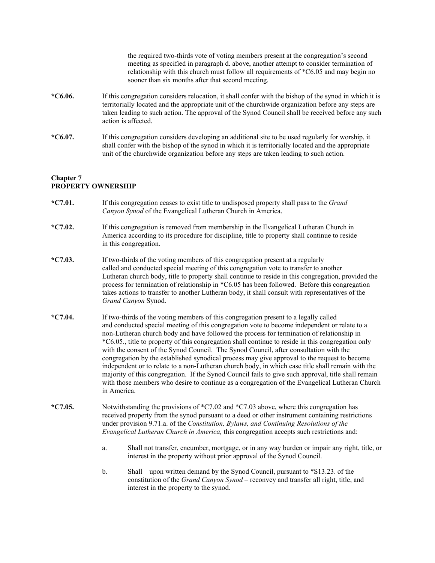the required two-thirds vote of voting members present at the congregation's second meeting as specified in paragraph d. above, another attempt to consider termination of relationship with this church must follow all requirements of \*C6.05 and may begin no sooner than six months after that second meeting. **\*C6.06.** If this congregation considers relocation, it shall confer with the bishop of the synod in which it is territorially located and the appropriate unit of the churchwide organization before any steps are taken leading to such action. The approval of the Synod Council shall be received before any such action is affected. **\*C6.07.** If this congregation considers developing an additional site to be used regularly for worship, it shall confer with the bishop of the synod in which it is territorially located and the appropriate unit of the churchwide organization before any steps are taken leading to such action.

## **Chapter 7 PROPERTY OWNERSHIP**

- **\*C7.01.** If this congregation ceases to exist title to undisposed property shall pass to the *Grand Canyon Synod* of the Evangelical Lutheran Church in America.
- **\*C7.02.** If this congregation is removed from membership in the Evangelical Lutheran Church in America according to its procedure for discipline, title to property shall continue to reside in this congregation.
- **\*C7.03.** If two-thirds of the voting members of this congregation present at a regularly called and conducted special meeting of this congregation vote to transfer to another Lutheran church body, title to property shall continue to reside in this congregation, provided the process for termination of relationship in \*C6.05 has been followed. Before this congregation takes actions to transfer to another Lutheran body, it shall consult with representatives of the *Grand Canyon* Synod.
- **\*C7.04.** If two-thirds of the voting members of this congregation present to a legally called and conducted special meeting of this congregation vote to become independent or relate to a non-Lutheran church body and have followed the process for termination of relationship in \*C6.05., title to property of this congregation shall continue to reside in this congregation only with the consent of the Synod Council. The Synod Council, after consultation with the congregation by the established synodical process may give approval to the request to become independent or to relate to a non-Lutheran church body, in which case title shall remain with the majority of this congregation. If the Synod Council fails to give such approval, title shall remain with those members who desire to continue as a congregation of the Evangelical Lutheran Church in America.
- **\*C7.05.** Notwithstanding the provisions of \*C7.02 and \*C7.03 above, where this congregation has received property from the synod pursuant to a deed or other instrument containing restrictions under provision 9.71.a. of the *Constitution, Bylaws, and Continuing Resolutions of the Evangelical Lutheran Church in America,* this congregation accepts such restrictions and:
	- a. Shall not transfer, encumber, mortgage, or in any way burden or impair any right, title, or interest in the property without prior approval of the Synod Council.
	- b. Shall upon written demand by the Synod Council, pursuant to \*S13.23. of the constitution of the *Grand Canyon Synod* – reconvey and transfer all right, title, and interest in the property to the synod.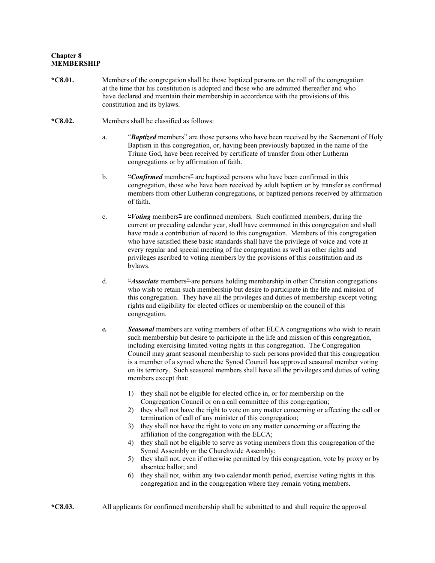### **Chapter 8 MEMBERSHIP**

- **\*C8.01.** Members of the congregation shall be those baptized persons on the roll of the congregation at the time that his constitution is adopted and those who are admitted thereafter and who have declared and maintain their membership in accordance with the provisions of this constitution and its bylaws.
- **\*C8.02.** Members shall be classified as follows:
	- a. "*Baptized* members<sup>2</sup> are those persons who have been received by the Sacrament of Holy Baptism in this congregation, or, having been previously baptized in the name of the Triune God, have been received by certificate of transfer from other Lutheran congregations or by affirmation of faith.
	- b. "*Confirmed* members<sup>2</sup> are baptized persons who have been confirmed in this congregation, those who have been received by adult baptism or by transfer as confirmed members from other Lutheran congregations, or baptized persons received by affirmation of faith.
	- c. "*Voting* members" are confirmed members. Such confirmed members, during the current or preceding calendar year, shall have communed in this congregation and shall have made a contribution of record to this congregation. Members of this congregation who have satisfied these basic standards shall have the privilege of voice and vote at every regular and special meeting of the congregation as well as other rights and privileges ascribed to voting members by the provisions of this constitution and its bylaws.
	- d. "*Associate* members" are persons holding membership in other Christian congregations who wish to retain such membership but desire to participate in the life and mission of this congregation. They have all the privileges and duties of membership except voting rights and eligibility for elected offices or membership on the council of this congregation.
	- e*. Seasonal* members are voting members of other ELCA congregations who wish to retain such membership but desire to participate in the life and mission of this congregation, including exercising limited voting rights in this congregation. The Congregation Council may grant seasonal membership to such persons provided that this congregation is a member of a synod where the Synod Council has approved seasonal member voting on its territory. Such seasonal members shall have all the privileges and duties of voting members except that:
		- 1) they shall not be eligible for elected office in, or for membership on the Congregation Council or on a call committee of this congregation;
		- 2) they shall not have the right to vote on any matter concerning or affecting the call or termination of call of any minister of this congregation;
		- 3) they shall not have the right to vote on any matter concerning or affecting the affiliation of the congregation with the ELCA;
		- 4) they shall not be eligible to serve as voting members from this congregation of the Synod Assembly or the Churchwide Assembly;
		- 5) they shall not, even if otherwise permitted by this congregation, vote by proxy or by absentee ballot; and
		- 6) they shall not, within any two calendar month period, exercise voting rights in this congregation and in the congregation where they remain voting members.
- **\*C8.03.** All applicants for confirmed membership shall be submitted to and shall require the approval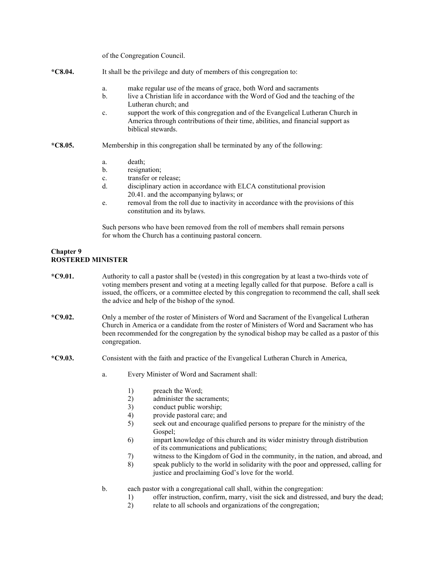of the Congregation Council.

- **\*C8.04.** It shall be the privilege and duty of members of this congregation to:
	- a. make regular use of the means of grace, both Word and sacraments
	- b. live a Christian life in accordance with the Word of God and the teaching of the Lutheran church; and
	- c. support the work of this congregation and of the Evangelical Lutheran Church in America through contributions of their time, abilities, and financial support as biblical stewards.
- **\*C8.05.** Membership in this congregation shall be terminated by any of the following:
	- a. death;
	- b. resignation;
	- c. transfer or release;
	- d. disciplinary action in accordance with ELCA constitutional provision 20.41. and the accompanying bylaws; or
	- e. removal from the roll due to inactivity in accordance with the provisions of this constitution and its bylaws.

Such persons who have been removed from the roll of members shall remain persons for whom the Church has a continuing pastoral concern.

## **Chapter 9 ROSTERED MINISTER**

- **\*C9.01.** Authority to call a pastor shall be (vested) in this congregation by at least a two-thirds vote of voting members present and voting at a meeting legally called for that purpose. Before a call is issued, the officers, or a committee elected by this congregation to recommend the call, shall seek the advice and help of the bishop of the synod.
- **\*C9.02.** Only a member of the roster of Ministers of Word and Sacrament of the Evangelical Lutheran Church in America or a candidate from the roster of Ministers of Word and Sacrament who has been recommended for the congregation by the synodical bishop may be called as a pastor of this congregation.
- **\*C9.03.** Consistent with the faith and practice of the Evangelical Lutheran Church in America,
	- a. Every Minister of Word and Sacrament shall:
		- 1) preach the Word;
		- 2) administer the sacraments;
		- 3) conduct public worship;
		- 4) provide pastoral care; and
		- 5) seek out and encourage qualified persons to prepare for the ministry of the Gospel;
		- 6) impart knowledge of this church and its wider ministry through distribution of its communications and publications;
		- 7) witness to the Kingdom of God in the community, in the nation, and abroad, and
		- 8) speak publicly to the world in solidarity with the poor and oppressed, calling for justice and proclaiming God's love for the world.
	- b. each pastor with a congregational call shall, within the congregation:
		- 1) offer instruction, confirm, marry, visit the sick and distressed, and bury the dead;
		- 2) relate to all schools and organizations of the congregation;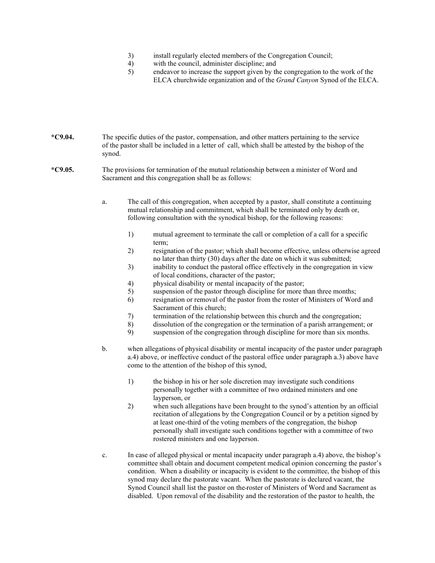- 3) install regularly elected members of the Congregation Council;
- 4) with the council, administer discipline; and
- 5) endeavor to increase the support given by the congregation to the work of the ELCA churchwide organization and of the *Grand Canyon* Synod of the ELCA.

**\*C9.04.** The specific duties of the pastor, compensation, and other matters pertaining to the service of the pastor shall be included in a letter of call, which shall be attested by the bishop of the synod.

**\*C9.05.** The provisions for termination of the mutual relationship between a minister of Word and Sacrament and this congregation shall be as follows:

> a. The call of this congregation, when accepted by a pastor, shall constitute a continuing mutual relationship and commitment, which shall be terminated only by death or, following consultation with the synodical bishop, for the following reasons:

- 1) mutual agreement to terminate the call or completion of a call for a specific term;
- 2) resignation of the pastor; which shall become effective, unless otherwise agreed no later than thirty (30) days after the date on which it was submitted;
- 3) inability to conduct the pastoral office effectively in the congregation in view of local conditions, character of the pastor;
- 4) physical disability or mental incapacity of the pastor;
- 5) suspension of the pastor through discipline for more than three months;
- 6) resignation or removal of the pastor from the roster of Ministers of Word and Sacrament of this church;
- 7) termination of the relationship between this church and the congregation;
- 8) dissolution of the congregation or the termination of a parish arrangement; or
- 9) suspension of the congregation through discipline for more than six months.
- b. when allegations of physical disability or mental incapacity of the pastor under paragraph a.4) above, or ineffective conduct of the pastoral office under paragraph a.3) above have come to the attention of the bishop of this synod,
	- 1) the bishop in his or her sole discretion may investigate such conditions personally together with a committee of two ordained ministers and one layperson, or
	- 2) when such allegations have been brought to the synod's attention by an official recitation of allegations by the Congregation Council or by a petition signed by at least one-third of the voting members of the congregation, the bishop personally shall investigate such conditions together with a committee of two rostered ministers and one layperson.
- c. In case of alleged physical or mental incapacity under paragraph a.4) above, the bishop's committee shall obtain and document competent medical opinion concerning the pastor's condition. When a disability or incapacity is evident to the committee, the bishop of this synod may declare the pastorate vacant. When the pastorate is declared vacant, the Synod Council shall list the pastor on the roster of Ministers of Word and Sacrament as disabled. Upon removal of the disability and the restoration of the pastor to health, the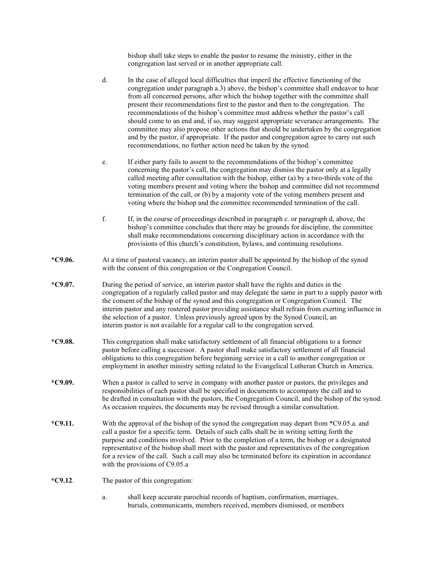bishop shall take steps to enable the pastor to resume the ministry, either in the congregation last served or in another appropriate call.

- d. In the case of alleged local difficulties that imperil the effective functioning of the congregation under paragraph a.3) above, the bishop's committee shall endeavor to hear from all concerned persons, after which the bishop together with the committee shall present their recommendations first to the pastor and then to the congregation. The recommendations of the bishop's committee must address whether the pastor's call should come to an end and, if so, may suggest appropriate severance arrangements. The committee may also propose other actions that should be undertaken by the congregation and by the pastor, if appropriate. If the pastor and congregation agree to carry out such recommendations, no further action need be taken by the synod.
- e. If either party fails to assent to the recommendations of the bishop's committee concerning the pastor's call, the congregation may dismiss the pastor only at a legally called meeting after consultation with the bishop, either (a) by a two-thirds vote of the voting members present and voting where the bishop and committee did not recommend termination of the call, or (b) by a majority vote of the voting members present and voting where the bishop and the committee recommended termination of the call.
- f. If, in the course of proceedings described in paragraph c. or paragraph d, above, the bishop's committee concludes that there may be grounds for discipline, the committee shall make recommendations concerning disciplinary action in accordance with the provisions of this church's constitution, bylaws, and continuing resolutions.
- **\*C9.06.** At a time of pastoral vacancy, an interim pastor shall be appointed by the bishop of the synod with the consent of this congregation or the Congregation Council.
- **\*C9.07.** During the period of service, an interim pastor shall have the rights and duties in the congregation of a regularly called pastor and may delegate the same in part to a supply pastor with the consent of the bishop of the synod and this congregation or Congregation Council. The interim pastor and any rostered pastor providing assistance shall refrain from exerting influence in the selection of a pastor. Unless previously agreed upon by the Synod Council, an interim pastor is not available for a regular call to the congregation served.
- **\*C9.08.** This congregation shall make satisfactory settlement of all financial obligations to a former pastor before calling a successor. A pastor shall make satisfactory settlement of all financial obligations to this congregation before beginning service in a call to another congregation or employment in another ministry setting related to the Evangelical Lutheran Church in America.
- **\*C9.09.** When a pastor is called to serve in company with another pastor or pastors, the privileges and responsibilities of each pastor shall be specified in documents to accompany the call and to be drafted in consultation with the pastors, the Congregation Council, and the bishop of the synod. As occasion requires, the documents may be revised through a similar consultation.
- **\*C9.11.** With the approval of the bishop of the synod the congregation may depart from \*C9.05.a. and call a pastor for a specific term. Details of such calls shall be in writing setting forth the purpose and conditions involved. Prior to the completion of a term, the bishop or a designated representative of the bishop shall meet with the pastor and representatives of the congregation for a review of the call. Such a call may also be terminated before its expiration in accordance with the provisions of C9.05.a
- **\*C9.12**. The pastor of this congregation:
	- a. shall keep accurate parochial records of baptism, confirmation, marriages, burials, communicants, members received, members dismissed, or members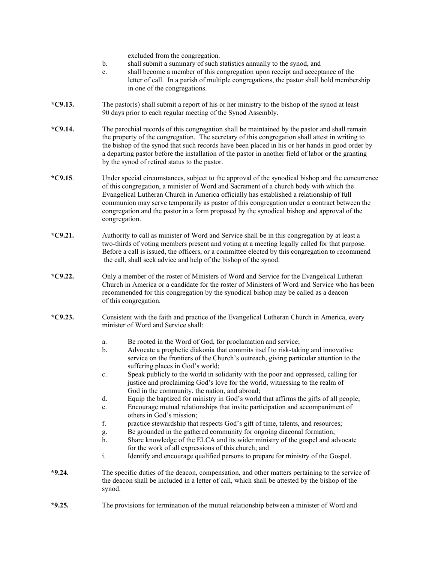|           | excluded from the congregation.<br>shall submit a summary of such statistics annually to the synod, and<br>b.<br>shall become a member of this congregation upon receipt and acceptance of the<br>c.<br>letter of call. In a parish of multiple congregations, the pastor shall hold membership<br>in one of the congregations.                                                                                                                                                                      |  |
|-----------|------------------------------------------------------------------------------------------------------------------------------------------------------------------------------------------------------------------------------------------------------------------------------------------------------------------------------------------------------------------------------------------------------------------------------------------------------------------------------------------------------|--|
| $*C9.13.$ | The pastor(s) shall submit a report of his or her ministry to the bishop of the synod at least<br>90 days prior to each regular meeting of the Synod Assembly.                                                                                                                                                                                                                                                                                                                                       |  |
| $*C9.14.$ | The parochial records of this congregation shall be maintained by the pastor and shall remain<br>the property of the congregation. The secretary of this congregation shall attest in writing to<br>the bishop of the synod that such records have been placed in his or her hands in good order by<br>a departing pastor before the installation of the pastor in another field of labor or the granting<br>by the synod of retired status to the pastor.                                           |  |
| $*C9.15.$ | Under special circumstances, subject to the approval of the synodical bishop and the concurrence<br>of this congregation, a minister of Word and Sacrament of a church body with which the<br>Evangelical Lutheran Church in America officially has established a relationship of full<br>communion may serve temporarily as pastor of this congregation under a contract between the<br>congregation and the pastor in a form proposed by the synodical bishop and approval of the<br>congregation. |  |
| $*C9.21.$ | Authority to call as minister of Word and Service shall be in this congregation by at least a<br>two-thirds of voting members present and voting at a meeting legally called for that purpose.<br>Before a call is issued, the officers, or a committee elected by this congregation to recommend<br>the call, shall seek advice and help of the bishop of the synod.                                                                                                                                |  |
| $*C9.22.$ | Only a member of the roster of Ministers of Word and Service for the Evangelical Lutheran<br>Church in America or a candidate for the roster of Ministers of Word and Service who has been<br>recommended for this congregation by the synodical bishop may be called as a deacon<br>of this congregation.                                                                                                                                                                                           |  |
| $*C9.23.$ | Consistent with the faith and practice of the Evangelical Lutheran Church in America, every<br>minister of Word and Service shall:                                                                                                                                                                                                                                                                                                                                                                   |  |
|           | Be rooted in the Word of God, for proclamation and service;<br>a.<br>Advocate a prophetic diakonia that commits itself to risk-taking and innovative<br>b.<br>service on the frontiers of the Church's outreach, giving particular attention to the<br>suffering places in God's world;                                                                                                                                                                                                              |  |
|           | Speak publicly to the world in solidarity with the poor and oppressed, calling for<br>c.<br>justice and proclaiming God's love for the world, witnessing to the realm of<br>God in the community, the nation, and abroad;                                                                                                                                                                                                                                                                            |  |
|           | d.<br>Equip the baptized for ministry in God's world that affirms the gifts of all people;<br>Encourage mutual relationships that invite participation and accompaniment of<br>e.<br>others in God's mission;                                                                                                                                                                                                                                                                                        |  |
|           | f.<br>practice stewardship that respects God's gift of time, talents, and resources;                                                                                                                                                                                                                                                                                                                                                                                                                 |  |
|           | Be grounded in the gathered community for ongoing diaconal formation;<br>g.                                                                                                                                                                                                                                                                                                                                                                                                                          |  |
|           | Share knowledge of the ELCA and its wider ministry of the gospel and advocate<br>h.<br>for the work of all expressions of this church; and                                                                                                                                                                                                                                                                                                                                                           |  |
|           | $\mathbf i.$<br>Identify and encourage qualified persons to prepare for ministry of the Gospel.                                                                                                                                                                                                                                                                                                                                                                                                      |  |
| $*9.24.$  | The specific duties of the deacon, compensation, and other matters pertaining to the service of<br>the deacon shall be included in a letter of call, which shall be attested by the bishop of the<br>synod.                                                                                                                                                                                                                                                                                          |  |
| $*9.25.$  | The provisions for termination of the mutual relationship between a minister of Word and                                                                                                                                                                                                                                                                                                                                                                                                             |  |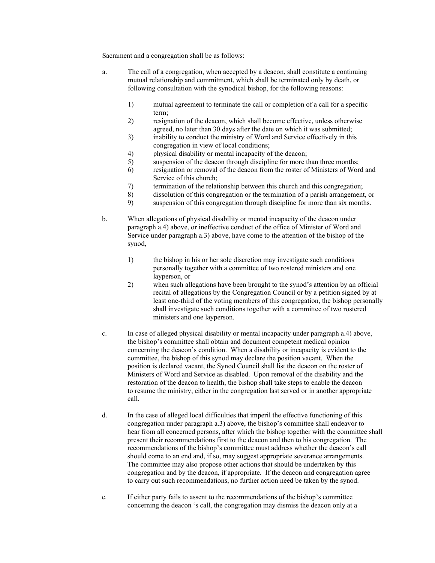Sacrament and a congregation shall be as follows:

- a. The call of a congregation, when accepted by a deacon, shall constitute a continuing mutual relationship and commitment, which shall be terminated only by death, or following consultation with the synodical bishop, for the following reasons:
	- 1) mutual agreement to terminate the call or completion of a call for a specific term;
	- 2) resignation of the deacon, which shall become effective, unless otherwise agreed, no later than 30 days after the date on which it was submitted;
	- 3) inability to conduct the ministry of Word and Service effectively in this congregation in view of local conditions;
	- 4) physical disability or mental incapacity of the deacon;
	- 5) suspension of the deacon through discipline for more than three months;
	- 6) resignation or removal of the deacon from the roster of Ministers of Word and Service of this church;
	- 7) termination of the relationship between this church and this congregation;
	- 8) dissolution of this congregation or the termination of a parish arrangement, or
	- 9) suspension of this congregation through discipline for more than six months.
- b. When allegations of physical disability or mental incapacity of the deacon under paragraph a.4) above, or ineffective conduct of the office of Minister of Word and Service under paragraph a.3) above, have come to the attention of the bishop of the synod,
	- 1) the bishop in his or her sole discretion may investigate such conditions personally together with a committee of two rostered ministers and one layperson, or
	- 2) when such allegations have been brought to the synod's attention by an official recital of allegations by the Congregation Council or by a petition signed by at least one-third of the voting members of this congregation, the bishop personally shall investigate such conditions together with a committee of two rostered ministers and one layperson.
- c. In case of alleged physical disability or mental incapacity under paragraph a.4) above, the bishop's committee shall obtain and document competent medical opinion concerning the deacon's condition. When a disability or incapacity is evident to the committee, the bishop of this synod may declare the position vacant. When the position is declared vacant, the Synod Council shall list the deacon on the roster of Ministers of Word and Service as disabled. Upon removal of the disability and the restoration of the deacon to health, the bishop shall take steps to enable the deacon to resume the ministry, either in the congregation last served or in another appropriate call.
- d. In the case of alleged local difficulties that imperil the effective functioning of this congregation under paragraph a.3) above, the bishop's committee shall endeavor to hear from all concerned persons, after which the bishop together with the committee shall present their recommendations first to the deacon and then to his congregation. The recommendations of the bishop's committee must address whether the deacon's call should come to an end and, if so, may suggest appropriate severance arrangements. The committee may also propose other actions that should be undertaken by this congregation and by the deacon, if appropriate. If the deacon and congregation agree to carry out such recommendations, no further action need be taken by the synod.
- e. If either party fails to assent to the recommendations of the bishop's committee concerning the deacon 's call, the congregation may dismiss the deacon only at a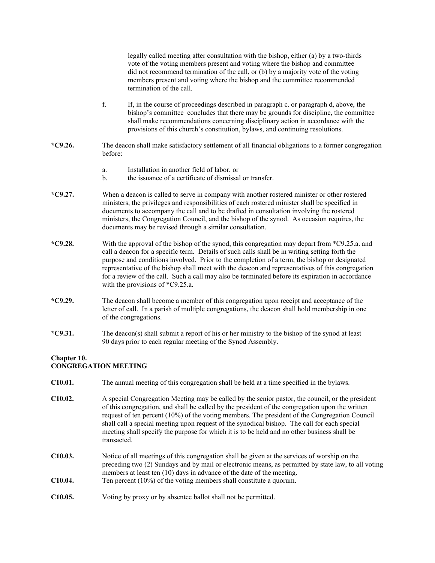|                                            |                                                                                                                                                                                                                                                                                                                                                                                                                                                                                                                       | legally called meeting after consultation with the bishop, either (a) by a two-thirds<br>vote of the voting members present and voting where the bishop and committee<br>did not recommend termination of the call, or (b) by a majority vote of the voting<br>members present and voting where the bishop and the committee recommended<br>termination of the call.                                                                                                                                                                        |  |
|--------------------------------------------|-----------------------------------------------------------------------------------------------------------------------------------------------------------------------------------------------------------------------------------------------------------------------------------------------------------------------------------------------------------------------------------------------------------------------------------------------------------------------------------------------------------------------|---------------------------------------------------------------------------------------------------------------------------------------------------------------------------------------------------------------------------------------------------------------------------------------------------------------------------------------------------------------------------------------------------------------------------------------------------------------------------------------------------------------------------------------------|--|
|                                            | f.                                                                                                                                                                                                                                                                                                                                                                                                                                                                                                                    | If, in the course of proceedings described in paragraph c. or paragraph d, above, the<br>bishop's committee concludes that there may be grounds for discipline, the committee<br>shall make recommendations concerning disciplinary action in accordance with the<br>provisions of this church's constitution, bylaws, and continuing resolutions.                                                                                                                                                                                          |  |
| $*C9.26.$                                  | before:                                                                                                                                                                                                                                                                                                                                                                                                                                                                                                               | The deacon shall make satisfactory settlement of all financial obligations to a former congregation                                                                                                                                                                                                                                                                                                                                                                                                                                         |  |
|                                            | a.<br>$\mathbf{b}$ .                                                                                                                                                                                                                                                                                                                                                                                                                                                                                                  | Installation in another field of labor, or<br>the issuance of a certificate of dismissal or transfer.                                                                                                                                                                                                                                                                                                                                                                                                                                       |  |
| $*C9.27.$                                  |                                                                                                                                                                                                                                                                                                                                                                                                                                                                                                                       | When a deacon is called to serve in company with another rostered minister or other rostered<br>ministers, the privileges and responsibilities of each rostered minister shall be specified in<br>documents to accompany the call and to be drafted in consultation involving the rostered<br>ministers, the Congregation Council, and the bishop of the synod. As occasion requires, the<br>documents may be revised through a similar consultation.                                                                                       |  |
| $*C9.28.$                                  |                                                                                                                                                                                                                                                                                                                                                                                                                                                                                                                       | With the approval of the bishop of the synod, this congregation may depart from *C9.25.a. and<br>call a deacon for a specific term. Details of such calls shall be in writing setting forth the<br>purpose and conditions involved. Prior to the completion of a term, the bishop or designated<br>representative of the bishop shall meet with the deacon and representatives of this congregation<br>for a review of the call. Such a call may also be terminated before its expiration in accordance<br>with the provisions of *C9.25.a. |  |
| $*C9.29.$                                  | The deacon shall become a member of this congregation upon receipt and acceptance of the<br>letter of call. In a parish of multiple congregations, the deacon shall hold membership in one<br>of the congregations.                                                                                                                                                                                                                                                                                                   |                                                                                                                                                                                                                                                                                                                                                                                                                                                                                                                                             |  |
| $*C9.31.$                                  | The deacon(s) shall submit a report of his or her ministry to the bishop of the synod at least<br>90 days prior to each regular meeting of the Synod Assembly.                                                                                                                                                                                                                                                                                                                                                        |                                                                                                                                                                                                                                                                                                                                                                                                                                                                                                                                             |  |
| Chapter 10.<br><b>CONGREGATION MEETING</b> |                                                                                                                                                                                                                                                                                                                                                                                                                                                                                                                       |                                                                                                                                                                                                                                                                                                                                                                                                                                                                                                                                             |  |
| C10.01.                                    |                                                                                                                                                                                                                                                                                                                                                                                                                                                                                                                       | The annual meeting of this congregation shall be held at a time specified in the bylaws.                                                                                                                                                                                                                                                                                                                                                                                                                                                    |  |
| C10.02.                                    | A special Congregation Meeting may be called by the senior pastor, the council, or the president<br>of this congregation, and shall be called by the president of the congregation upon the written<br>request of ten percent $(10\%)$ of the voting members. The president of the Congregation Council<br>shall call a special meeting upon request of the synodical bishop. The call for each special<br>meeting shall specify the purpose for which it is to be held and no other business shall be<br>transacted. |                                                                                                                                                                                                                                                                                                                                                                                                                                                                                                                                             |  |
| C10.03.                                    |                                                                                                                                                                                                                                                                                                                                                                                                                                                                                                                       | Notice of all meetings of this congregation shall be given at the services of worship on the<br>preceding two (2) Sundays and by mail or electronic means, as permitted by state law, to all voting<br>members at least ten $(10)$ days in advance of the date of the meeting.                                                                                                                                                                                                                                                              |  |

- **C10.04.** Ten percent (10%) of the voting members shall constitute a quorum.
- **C10.05.** Voting by proxy or by absentee ballot shall not be permitted.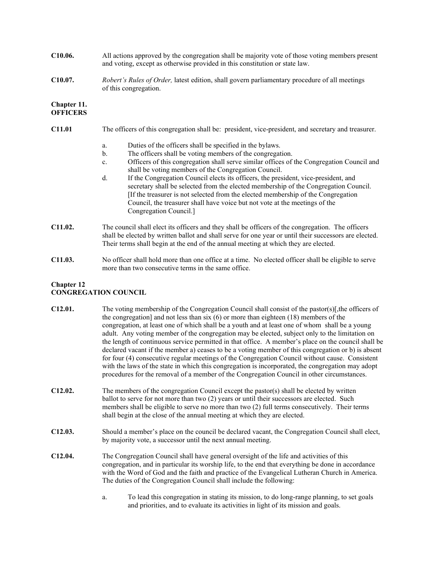- **C10.06.** All actions approved by the congregation shall be majority vote of those voting members present and voting, except as otherwise provided in this constitution or state law.
- **C10.07.** *Robert's Rules of Order,* latest edition, shall govern parliamentary procedure of all meetings of this congregation.

#### **Chapter 11. OFFICERS**

- **C11.01** The officers of this congregation shall be: president, vice-president, and secretary and treasurer.
	- a. Duties of the officers shall be specified in the bylaws.
	- b. The officers shall be voting members of the congregation.
	- c. Officers of this congregation shall serve similar offices of the Congregation Council and shall be voting members of the Congregation Council.
	- d. If the Congregation Council elects its officers, the president, vice-president, and secretary shall be selected from the elected membership of the Congregation Council. [If the treasurer is not selected from the elected membership of the Congregation Council, the treasurer shall have voice but not vote at the meetings of the Congregation Council.]
- **C11.02.** The council shall elect its officers and they shall be officers of the congregation. The officers shall be elected by written ballot and shall serve for one year or until their successors are elected. Their terms shall begin at the end of the annual meeting at which they are elected.
- **C11.03.** No officer shall hold more than one office at a time. No elected officer shall be eligible to serve more than two consecutive terms in the same office.

## **Chapter 12 CONGREGATION COUNCIL**

| C12.01. | The voting membership of the Congregation Council shall consist of the pastor(s)[, the officers of<br>the congregation] and not less than six $(6)$ or more than eighteen (18) members of the<br>congregation, at least one of which shall be a youth and at least one of whom shall be a young<br>adult. Any voting member of the congregation may be elected, subject only to the limitation on<br>the length of continuous service permitted in that office. A member's place on the council shall be<br>declared vacant if the member a) ceases to be a voting member of this congregation or b) is absent<br>for four (4) consecutive regular meetings of the Congregation Council without cause. Consistent<br>with the laws of the state in which this congregation is incorporated, the congregation may adopt<br>procedures for the removal of a member of the Congregation Council in other circumstances. |
|---------|----------------------------------------------------------------------------------------------------------------------------------------------------------------------------------------------------------------------------------------------------------------------------------------------------------------------------------------------------------------------------------------------------------------------------------------------------------------------------------------------------------------------------------------------------------------------------------------------------------------------------------------------------------------------------------------------------------------------------------------------------------------------------------------------------------------------------------------------------------------------------------------------------------------------|
| C12.02. | The members of the congregation Council except the pastor(s) shall be elected by written<br>ballot to serve for not more than two (2) years or until their successors are elected. Such<br>members shall be eligible to serve no more than two (2) full terms consecutively. Their terms<br>shall begin at the close of the annual meeting at which they are elected.                                                                                                                                                                                                                                                                                                                                                                                                                                                                                                                                                |
| C12.03. | Should a member's place on the council be declared vacant, the Congregation Council shall elect,<br>by majority vote, a successor until the next annual meeting.                                                                                                                                                                                                                                                                                                                                                                                                                                                                                                                                                                                                                                                                                                                                                     |
| C12.04. | The Congregation Council shall have general oversight of the life and activities of this<br>congregation, and in particular its worship life, to the end that everything be done in accordance<br>with the Word of God and the faith and practice of the Evangelical Lutheran Church in America.<br>The duties of the Congregation Council shall include the following:                                                                                                                                                                                                                                                                                                                                                                                                                                                                                                                                              |

a. To lead this congregation in stating its mission, to do long-range planning, to set goals and priorities, and to evaluate its activities in light of its mission and goals.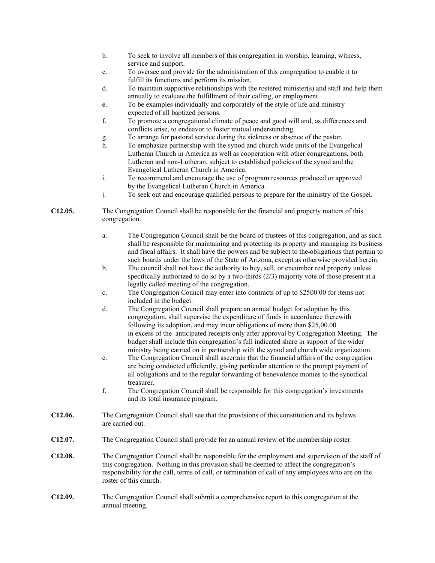- b. To seek to involve all members of this congregation in worship, learning, witness, service and support.
- c. To oversee and provide for the administration of this congregation to enable it to fulfill its functions and perform its mission.
- d. To maintain supportive relationships with the rostered minister(s) and staff and help them annually to evaluate the fulfillment of their calling, or employment.
- e. To be examples individually and corporately of the style of life and ministry expected of all baptized persons.
- f. To promote a congregational climate of peace and good will and, as differences and conflicts arise, to endeavor to foster mutual understanding.
- g. To arrange for pastoral service during the sickness or absence of the pastor.
- h. To emphasize partnership with the synod and church wide units of the Evangelical Lutheran Church in America as well as cooperation with other congregations, both Lutheran and non-Lutheran, subject to established policies of the synod and the Evangelical Lutheran Church in America.
- i. To recommend and encourage the use of program resources produced or approved by the Evangelical Lutheran Church in America.
- j. To seek out and encourage qualified persons to prepare for the ministry of the Gospel.

**C12.05.** The Congregation Council shall be responsible for the financial and property matters of this congregation.

- a. The Congregation Council shall be the board of trustees of this congregation, and as such shall be responsible for maintaining and protecting its property and managing its business and fiscal affairs. It shall have the powers and be subject to the obligations that pertain to such boards under the laws of the State of Arizona, except as otherwise provided herein.
- b. The council shall not have the authority to buy, sell, or encumber real property unless specifically authorized to do so by a two-thirds (2/3) majority vote of those present at a legally called meeting of the congregation.
- c. The Congregation Council may enter into contracts of up to \$2500.00 for items not included in the budget.
- d. The Congregation Council shall prepare an annual budget for adoption by this congregation, shall supervise the expenditure of funds in accordance therewith following its adoption, and may incur obligations of more than \$25,00.00 in excess of the anticipated receipts only after approval by Congregation Meeting. The budget shall include this congregation's full indicated share in support of the wider ministry being carried on in partnership with the synod and church wide organization.
- e. The Congregation Council shall ascertain that the financial affairs of the congregation are being conducted efficiently, giving particular attention to the prompt payment of all obligations and to the regular forwarding of benevolence monies to the synodical treasurer.
- f. The Congregation Council shall be responsible for this congregation's investments and its total insurance program.
- **C12.06.** The Congregation Council shall see that the provisions of this constitution and its bylaws are carried out.
- **C12.07.** The Congregation Council shall provide for an annual review of the membership roster.
- **C12.08.** The Congregation Council shall be responsible for the employment and supervision of the staff of this congregation. Nothing in this provision shall be deemed to affect the congregation's responsibility for the call, terms of call, or termination of call of any employees who are on the roster of this church.
- **C12.09.** The Congregation Council shall submit a comprehensive report to this congregation at the annual meeting.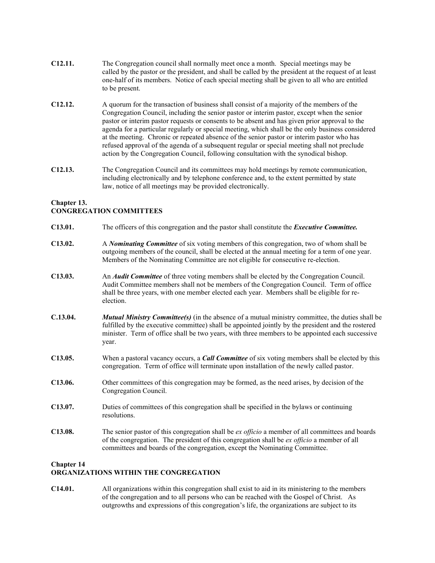- **C12.11.** The Congregation council shall normally meet once a month. Special meetings may be called by the pastor or the president, and shall be called by the president at the request of at least one-half of its members. Notice of each special meeting shall be given to all who are entitled to be present.
- **C12.12.** A quorum for the transaction of business shall consist of a majority of the members of the Congregation Council, including the senior pastor or interim pastor, except when the senior pastor or interim pastor requests or consents to be absent and has given prior approval to the agenda for a particular regularly or special meeting, which shall be the only business considered at the meeting. Chronic or repeated absence of the senior pastor or interim pastor who has refused approval of the agenda of a subsequent regular or special meeting shall not preclude action by the Congregation Council, following consultation with the synodical bishop.
- **C12.13.** The Congregation Council and its committees may hold meetings by remote communication, including electronically and by telephone conference and, to the extent permitted by state law, notice of all meetings may be provided electronically.

## **Chapter 13. CONGREGATION COMMITTEES**

| C <sub>13.01</sub> . | The officers of this congregation and the pastor shall constitute the <i>Executive Committee</i> .                                                                                                                                                                                                                        |
|----------------------|---------------------------------------------------------------------------------------------------------------------------------------------------------------------------------------------------------------------------------------------------------------------------------------------------------------------------|
| C13.02.              | A <i>Nominating Committee</i> of six voting members of this congregation, two of whom shall be<br>outgoing members of the council, shall be elected at the annual meeting for a term of one year.<br>Members of the Nominating Committee are not eligible for consecutive re-election.                                    |
| C13.03.              | An <i>Audit Committee</i> of three voting members shall be elected by the Congregation Council.<br>Audit Committee members shall not be members of the Congregation Council. Term of office<br>shall be three years, with one member elected each year. Members shall be eligible for re-<br>election.                    |
| C.13.04.             | <b>Mutual Ministry Committee(s)</b> (in the absence of a mutual ministry committee, the duties shall be<br>fulfilled by the executive committee) shall be appointed jointly by the president and the rostered<br>minister. Term of office shall be two years, with three members to be appointed each successive<br>year. |
| C13.05.              | When a pastoral vacancy occurs, a <b>Call Committee</b> of six voting members shall be elected by this<br>congregation. Term of office will terminate upon installation of the newly called pastor.                                                                                                                       |
| C13.06.              | Other committees of this congregation may be formed, as the need arises, by decision of the<br>Congregation Council.                                                                                                                                                                                                      |
| C13.07.              | Duties of committees of this congregation shall be specified in the bylaws or continuing<br>resolutions.                                                                                                                                                                                                                  |
| C13.08.              | The senior pastor of this congregation shall be ex officio a member of all committees and boards<br>of the congregation. The president of this congregation shall be ex officio a member of all<br>committees and boards of the congregation, except the Nominating Committee.                                            |
|                      |                                                                                                                                                                                                                                                                                                                           |

#### **Chapter 14 ORGANIZATIONS WITHIN THE CONGREGATION**

**C14.01.** All organizations within this congregation shall exist to aid in its ministering to the members of the congregation and to all persons who can be reached with the Gospel of Christ. As outgrowths and expressions of this congregation's life, the organizations are subject to its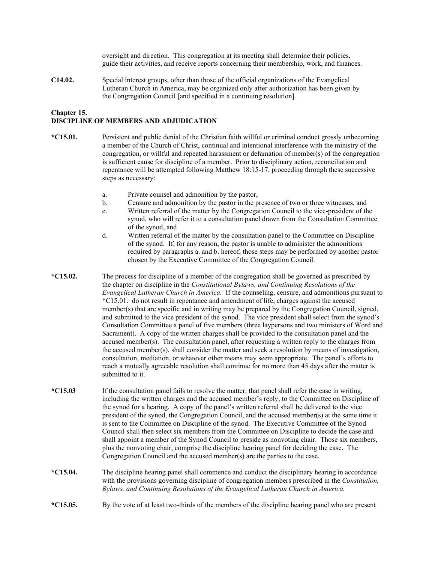oversight and direction. This congregation at its meeting shall determine their policies, guide their activities, and receive reports concerning their membership, work, and finances.

**C14.02.** Special interest groups, other than those of the official organizations of the Evangelical Lutheran Church in America, may be organized only after authorization has been given by the Congregation Council [and specified in a continuing resolution].

## **Chapter 15.**

## **DISCIPLINE OF MEMBERS AND ADJUDICATION**

- **\*C15.01.** Persistent and public denial of the Christian faith willful or criminal conduct grossly unbecoming a member of the Church of Christ, continual and intentional interference with the ministry of the congregation, or willful and repeated harassment or defamation of member(s) of the congregation is sufficient cause for discipline of a member. Prior to disciplinary action, reconciliation and repentance will be attempted following Matthew 18:15-17, proceeding through these successive steps as necessary:
	- a. Private counsel and admonition by the pastor,
	- b. Censure and admonition by the pastor in the presence of two or three witnesses, and
	- c. Written referral of the matter by the Congregation Council to the vice-president of the synod, who will refer it to a consultation panel drawn from the Consultation Committee of the synod, and
	- d. Written referral of the matter by the consultation panel to the Committee on Discipline of the synod. If, for any reason, the pastor is unable to administer the admonitions required by paragraphs a. and b. hereof, those steps may be performed by another pastor chosen by the Executive Committee of the Congregation Council.
- **\*C15.02.** The process for discipline of a member of the congregation shall be governed as prescribed by the chapter on discipline in the *Constitutional Bylaws, and Continuing Resolutions of the Evangelical Lutheran Church in America.* If the counseling, censure, and admonitions pursuant to \*C15.01. do not result in repentance and amendment of life, charges against the accused member(s) that are specific and in writing may be prepared by the Congregation Council, signed, and submitted to the vice president of the synod. The vice president shall select from the synod's Consultation Committee a panel of five members (three laypersons and two ministers of Word and Sacrament). A copy of the written charges shall be provided to the consultation panel and the accused member(s). The consultation panel, after requesting a written reply to the charges from the accused member(s), shall consider the matter and seek a resolution by means of investigation, consultation, mediation, or whatever other means may seem appropriate. The panel's efforts to reach a mutually agreeable resolution shall continue for no more than 45 days after the matter is submitted to it.
- **\*C15.03** If the consultation panel fails to resolve the matter, that panel shall refer the case in writing, including the written charges and the accused member's reply, to the Committee on Discipline of the synod for a hearing. A copy of the panel's written referral shall be delivered to the vice president of the synod, the Congregation Council, and the accused member(s) at the same time it is sent to the Committee on Discipline of the synod. The Executive Committee of the Synod Council shall then select six members from the Committee on Discipline to decide the case and shall appoint a member of the Synod Council to preside as nonvoting chair. Those six members, plus the nonvoting chair, comprise the discipline hearing panel for deciding the case. The Congregation Council and the accused member(s) are the parties to the case.
- **\*C15.04.** The discipline hearing panel shall commence and conduct the disciplinary hearing in accordance with the provisions governing discipline of congregation members prescribed in the *Constitution, Bylaws, and Continuing Resolutions of the Evangelical Lutheran Church in America.*
- **\*C15.05.** By the vote of at least two-thirds of the members of the discipline hearing panel who are present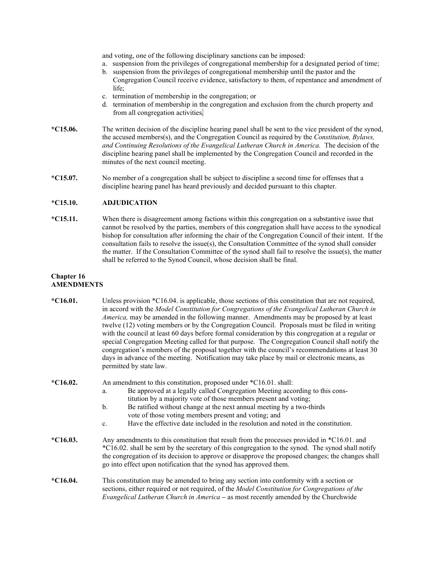and voting, one of the following disciplinary sanctions can be imposed:

- a. suspension from the privileges of congregational membership for a designated period of time;
- b. suspension from the privileges of congregational membership until the pastor and the Congregation Council receive evidence, satisfactory to them, of repentance and amendment of life;
- c. termination of membership in the congregation; or
- d. termination of membership in the congregation and exclusion from the church property and from all congregation activities.
- **\*C15.06.** The written decision of the discipline hearing panel shall be sent to the vice president of the synod, the accused members(s), and the Congregation Council as required by the *Constitution, Bylaws, and Continuing Resolutions of the Evangelical Lutheran Church in America.* The decision of the discipline hearing panel shall be implemented by the Congregation Council and recorded in the minutes of the next council meeting.
- **\*C15.07.** No member of a congregation shall be subject to discipline a second time for offenses that a discipline hearing panel has heard previously and decided pursuant to this chapter.

#### **\*C15.10. ADJUDICATION**

**\*C15.11.** When there is disagreement among factions within this congregation on a substantive issue that cannot be resolved by the parties, members of this congregation shall have access to the synodical bishop for consultation after informing the chair of the Congregation Council of their intent. If the consultation fails to resolve the issue(s), the Consultation Committee of the synod shall consider the matter. If the Consultation Committee of the synod shall fail to resolve the issue(s), the matter shall be referred to the Synod Council, whose decision shall be final.

#### **Chapter 16 AMENDMENTS**

| $*C16.01.$ | Unless provision $*C16.04$ is applicable, those sections of this constitution that are not required,<br>in accord with the Model Constitution for Congregations of the Evangelical Lutheran Church in<br><i>America</i> , may be amended in the following manner. Amendments may be proposed by at least<br>twelve (12) voting members or by the Congregation Council. Proposals must be filed in writing<br>with the council at least 60 days before formal consideration by this congregation at a regular or<br>special Congregation Meeting called for that purpose. The Congregation Council shall notify the<br>congregation's members of the proposal together with the council's recommendations at least 30<br>days in advance of the meeting. Notification may take place by mail or electronic means, as<br>permitted by state law. |  |
|------------|------------------------------------------------------------------------------------------------------------------------------------------------------------------------------------------------------------------------------------------------------------------------------------------------------------------------------------------------------------------------------------------------------------------------------------------------------------------------------------------------------------------------------------------------------------------------------------------------------------------------------------------------------------------------------------------------------------------------------------------------------------------------------------------------------------------------------------------------|--|
| $*C16.02.$ | An amendment to this constitution, proposed under *C16.01. shall:<br>Be approved at a legally called Congregation Meeting according to this cons-<br>a.<br>titution by a majority vote of those members present and voting;<br>Be ratified without change at the next annual meeting by a two-thirds<br>b.<br>vote of those voting members present and voting; and<br>Have the effective date included in the resolution and noted in the constitution.<br>$\mathbf{c}$ .                                                                                                                                                                                                                                                                                                                                                                      |  |
| $*C16.03.$ | Any amendments to this constitution that result from the processes provided in *C16.01. and<br>*C16.02. shall be sent by the secretary of this congregation to the synod. The synod shall notify<br>the congregation of its decision to approve or disapprove the proposed changes; the changes shall<br>go into effect upon notification that the synod has approved them.                                                                                                                                                                                                                                                                                                                                                                                                                                                                    |  |
| *C16.04.   | This constitution may be amended to bring any section into conformity with a section or<br>sections, either required or not required, of the Model Constitution for Congregations of the<br>Evangelical Lutheran Church in America – as most recently amended by the Churchwide                                                                                                                                                                                                                                                                                                                                                                                                                                                                                                                                                                |  |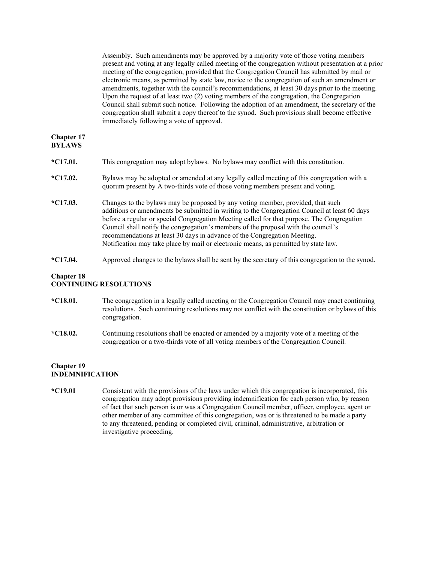Assembly. Such amendments may be approved by a majority vote of those voting members present and voting at any legally called meeting of the congregation without presentation at a prior meeting of the congregation, provided that the Congregation Council has submitted by mail or electronic means, as permitted by state law, notice to the congregation of such an amendment or amendments, together with the council's recommendations, at least 30 days prior to the meeting. Upon the request of at least two (2) voting members of the congregation, the Congregation Council shall submit such notice. Following the adoption of an amendment, the secretary of the congregation shall submit a copy thereof to the synod. Such provisions shall become effective immediately following a vote of approval.

#### **Chapter 17 BYLAWS**

| $*C17.01.$ | This congregation may adopt bylaws. No bylaws may conflict with this constitution.                                                                                                                                                                                                                                                                                                                                                                                                                                                     |
|------------|----------------------------------------------------------------------------------------------------------------------------------------------------------------------------------------------------------------------------------------------------------------------------------------------------------------------------------------------------------------------------------------------------------------------------------------------------------------------------------------------------------------------------------------|
| $*C17.02.$ | By laws may be adopted or amended at any legally called meeting of this congregation with a<br>quorum present by A two-thirds vote of those voting members present and voting.                                                                                                                                                                                                                                                                                                                                                         |
| $*C17.03.$ | Changes to the bylaws may be proposed by any voting member, provided, that such<br>additions or amendments be submitted in writing to the Congregation Council at least 60 days<br>before a regular or special Congregation Meeting called for that purpose. The Congregation<br>Council shall notify the congregation's members of the proposal with the council's<br>recommendations at least 30 days in advance of the Congregation Meeting.<br>Notification may take place by mail or electronic means, as permitted by state law. |

**\*C17.04.** Approved changes to the bylaws shall be sent by the secretary of this congregation to the synod.

#### **Chapter 18 CONTINUING RESOLUTIONS**

- **\*C18.01.** The congregation in a legally called meeting or the Congregation Council may enact continuing resolutions. Such continuing resolutions may not conflict with the constitution or bylaws of this congregation.
- **\*C18.02.** Continuing resolutions shall be enacted or amended by a majority vote of a meeting of the congregation or a two-thirds vote of all voting members of the Congregation Council.

## **Chapter 19 INDEMNIFICATION**

**\*C19.01** Consistent with the provisions of the laws under which this congregation is incorporated, this congregation may adopt provisions providing indemnification for each person who, by reason of fact that such person is or was a Congregation Council member, officer, employee, agent or other member of any committee of this congregation, was or is threatened to be made a party to any threatened, pending or completed civil, criminal, administrative, arbitration or investigative proceeding.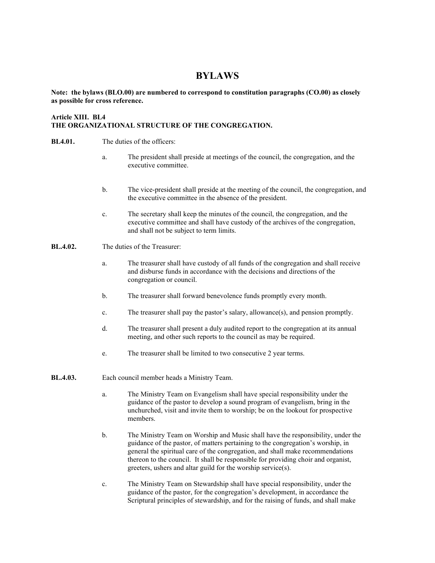## **BYLAWS**

### **Note: the bylaws (BLO.00) are numbered to correspond to constitution paragraphs (CO.00) as closely as possible for cross reference.**

## **Article XIII. BL4 THE ORGANIZATIONAL STRUCTURE OF THE CONGREGATION.**

- **BL4.01.** The duties of the officers:
	- a. The president shall preside at meetings of the council, the congregation, and the executive committee.
	- b. The vice-president shall preside at the meeting of the council, the congregation, and the executive committee in the absence of the president.
	- c. The secretary shall keep the minutes of the council, the congregation, and the executive committee and shall have custody of the archives of the congregation, and shall not be subject to term limits.
- **BL.4.02.** The duties of the Treasurer:
	- a. The treasurer shall have custody of all funds of the congregation and shall receive and disburse funds in accordance with the decisions and directions of the congregation or council.
	- b. The treasurer shall forward benevolence funds promptly every month.
	- c. The treasurer shall pay the pastor's salary, allowance(s), and pension promptly.
	- d. The treasurer shall present a duly audited report to the congregation at its annual meeting, and other such reports to the council as may be required.
	- e. The treasurer shall be limited to two consecutive 2 year terms.
- **BL.4.03.** Each council member heads a Ministry Team.
	- a. The Ministry Team on Evangelism shall have special responsibility under the guidance of the pastor to develop a sound program of evangelism, bring in the unchurched, visit and invite them to worship; be on the lookout for prospective members.
	- b. The Ministry Team on Worship and Music shall have the responsibility, under the guidance of the pastor, of matters pertaining to the congregation's worship, in general the spiritual care of the congregation, and shall make recommendations thereon to the council. It shall be responsible for providing choir and organist, greeters, ushers and altar guild for the worship service(s).
	- c. The Ministry Team on Stewardship shall have special responsibility, under the guidance of the pastor, for the congregation's development, in accordance the Scriptural principles of stewardship, and for the raising of funds, and shall make